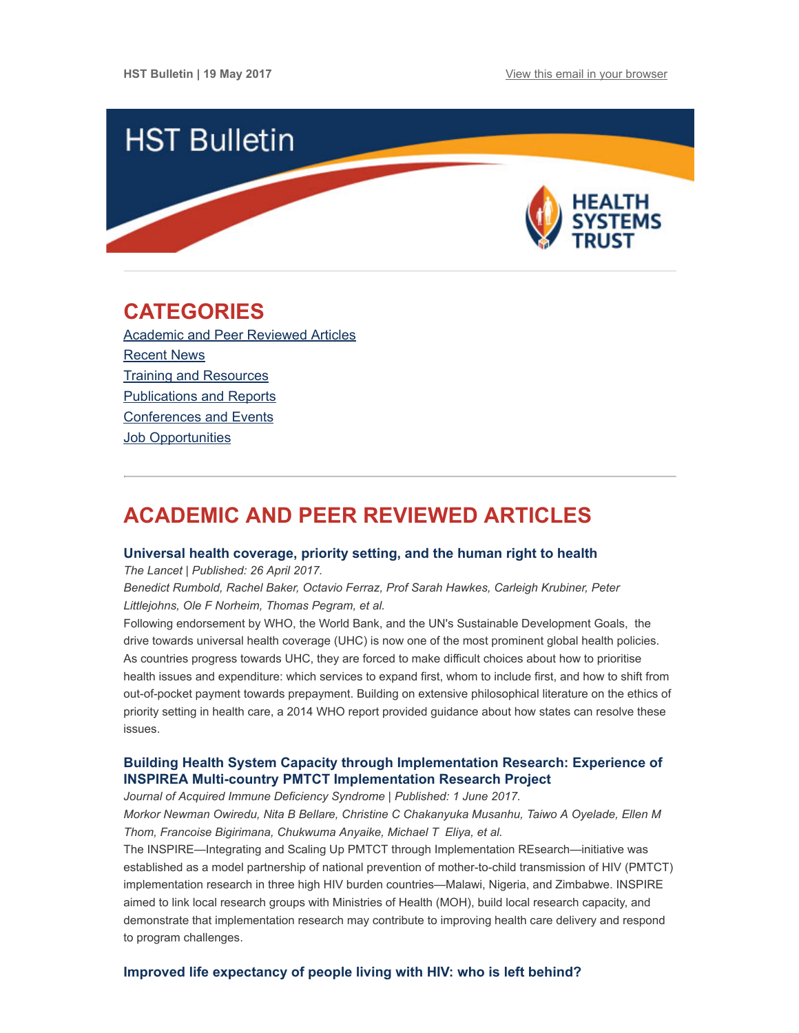

## <span id="page-0-1"></span>CATEGORIES

Academic and Peer [Reviewed](#page-0-0) Articles [Recent](#page-2-0) News Training and [Resources](#page-3-0) [Publications](#page-4-0) and Reports [Conferences](#page-4-1) and Events Job [Opportunities](#page-4-2)

# <span id="page-0-0"></span>ACADEMIC AND PEER REVIEWED ARTICLES

## Universal health [coverage,](http://thelancet.com/journals/lancet/article/PIIS0140-6736(17)30931-5/fulltext) priority setting, and the human right to health

The Lancet | Published: 26 April 2017.

Benedict Rumbold, Rachel Baker, Octavio Ferraz, Prof Sarah Hawkes, Carleigh Krubiner, Peter Littlejohns, Ole F Norheim, Thomas Pegram, et al.

Following endorsement by WHO, the World Bank, and the UN's Sustainable Development Goals, the drive towards universal health coverage (UHC) is now one of the most prominent global health policies. As countries progress towards UHC, they are forced to make difficult choices about how to prioritise health issues and expenditure: which services to expand first, whom to include first, and how to shift from out-of-pocket payment towards prepayment. Building on extensive philosophical literature on the ethics of priority setting in health care, a 2014 WHO report provided guidance about how states can resolve these issues.

## Building Health System Capacity through Implementation Research: Experience of INSPIREA Multi-country PMTCT [Implementation](http://journals.lww.com/jaids/fulltext/2017/06011/Building_Health_System_Capacity_Through.18.aspx) Research Project

Journal of Acquired Immune Deficiency Syndrome | Published: 1 June 2017. Morkor Newman Owiredu, Nita B Bellare, Christine C Chakanyuka Musanhu, Taiwo A Oyelade, Ellen M Thom, Francoise Bigirimana, Chukwuma Anyaike, Michael T Eliya, et al.

The INSPIRE—Integrating and Scaling Up PMTCT through Implementation REsearch—initiative was established as a model partnership of national prevention of mother-to-child transmission of HIV (PMTCT) implementation research in three high HIV burden countries—Malawi, Nigeria, and Zimbabwe. INSPIRE aimed to link local research groups with Ministries of Health (MOH), build local research capacity, and demonstrate that implementation research may contribute to improving health care delivery and respond to program challenges.

## Improved life [expectancy](http://www.thelancet.com/journals/lanhiv/article/PIIS2352-3018(17)30086-3/fulltext) of people living with HIV: who is left behind?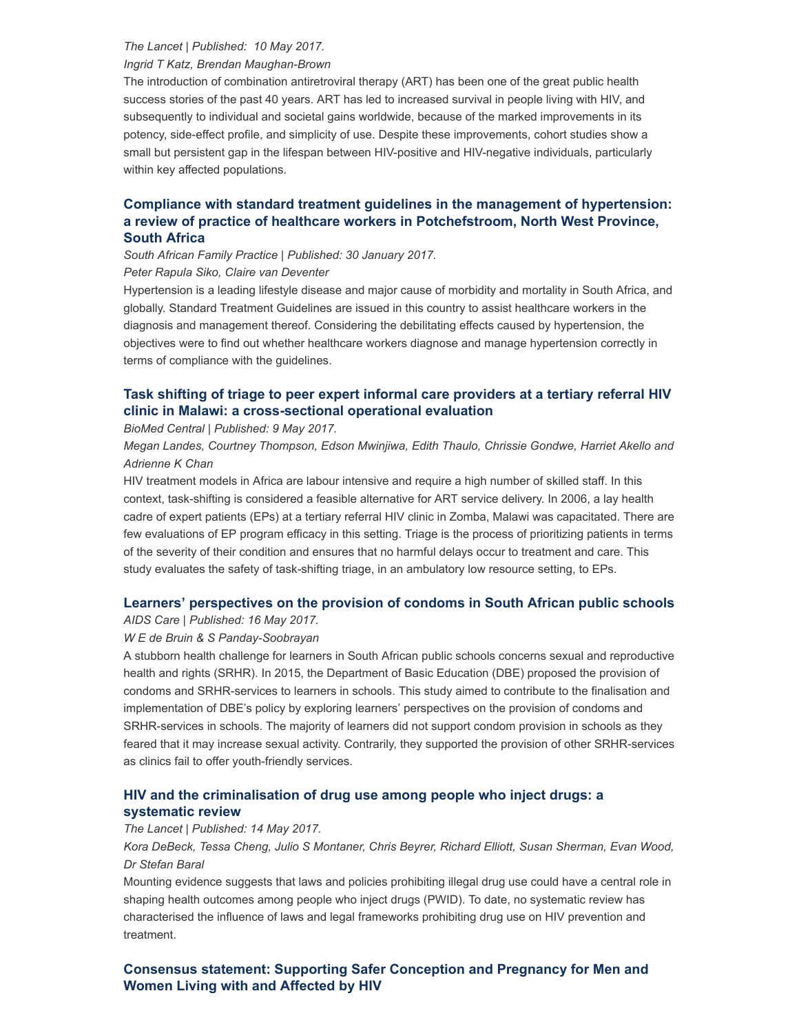### The Lancet | Published: 10 May 2017.

Ingrid T Katz, Brendan Maughan-Brown

The introduction of combination antiretroviral therapy (ART) has been one of the great public health success stories of the past 40 years. ART has led to increased survival in people living with HIV, and subsequently to individual and societal gains worldwide, because of the marked improvements in its potency, side-effect profile, and simplicity of use. Despite these improvements, cohort studies show a small but persistent gap in the lifespan between HIV-positive and HIV-negative individuals, particularly within key affected populations.

## Compliance with standard treatment guidelines in the management of hypertension: a review of practice of healthcare workers in [Potchefstroom,](http://www.tandfonline.com/doi/full/10.1080/20786190.2016.1272246?scroll=top&needAccess=true) North West Province, South Africa

South African Family Practice | Published: 30 January 2017.

Peter Rapula Siko, Claire van Deventer

Hypertension is a leading lifestyle disease and major cause of morbidity and mortality in South Africa, and globally. Standard Treatment Guidelines are issued in this country to assist healthcare workers in the diagnosis and management thereof. Considering the debilitating effects caused by hypertension, the objectives were to find out whether healthcare workers diagnose and manage hypertension correctly in terms of compliance with the guidelines.

## Task shifting of triage to peer expert informal care providers at a tertiary referral HIV clinic in Malawi: a [cross-sectional](https://bmchealthservres.biomedcentral.com/articles/10.1186/s12913-017-2291-3) operational evaluation

BioMed Central | Published: 9 May 2017.

Megan Landes, Courtney Thompson, Edson Mwinjiwa, Edith Thaulo, Chrissie Gondwe, Harriet Akello and Adrienne K Chan

HIV treatment models in Africa are labour intensive and require a high number of skilled staff. In this context, task-shifting is considered a feasible alternative for ART service delivery. In 2006, a lay health cadre of expert patients (EPs) at a tertiary referral HIV clinic in Zomba, Malawi was capacitated. There are few evaluations of EP program efficacy in this setting. Triage is the process of prioritizing patients in terms of the severity of their condition and ensures that no harmful delays occur to treatment and care. This study evaluates the safety of task-shifting triage, in an ambulatory low resource setting, to EPs.

## Learners' [perspectives](http://www.tandfonline.com/doi/full/10.1080/09540121.2017.1327647) on the provision of condoms in South African public schools

### AIDS Care | Published: 16 May 2017.

### W E de Bruin & S Panday-Soobrayan

A stubborn health challenge for learners in South African public schools concerns sexual and reproductive health and rights (SRHR). In 2015, the Department of Basic Education (DBE) proposed the provision of condoms and SRHR-services to learners in schools. This study aimed to contribute to the finalisation and implementation of DBE's policy by exploring learners' perspectives on the provision of condoms and SRHR-services in schools. The majority of learners did not support condom provision in schools as they feared that it may increase sexual activity. Contrarily, they supported the provision of other SRHR-services as clinics fail to offer youth-friendly services.

## HIV and the [criminalisation](http://thelancet.com/journals/lanhiv/article/PIIS2352-3018(17)30073-5/fulltext) of drug use among people who inject drugs: a systematic review

#### The Lancet | Published: 14 May 2017.

Kora DeBeck, Tessa Cheng, Julio S Montaner, Chris Beyrer, Richard Elliott, Susan Sherman, Evan Wood, Dr Stefan Baral

Mounting evidence suggests that laws and policies prohibiting illegal drug use could have a central role in shaping health outcomes among people who inject drugs (PWID). To date, no systematic review has characterised the influence of laws and legal frameworks prohibiting drug use on HIV prevention and treatment.

## Consensus statement: Supporting Safer [Conception](https://link.springer.com/article/10.1007%2Fs10461-017-1777-7) and Pregnancy for Men and Women Living with and Affected by HIV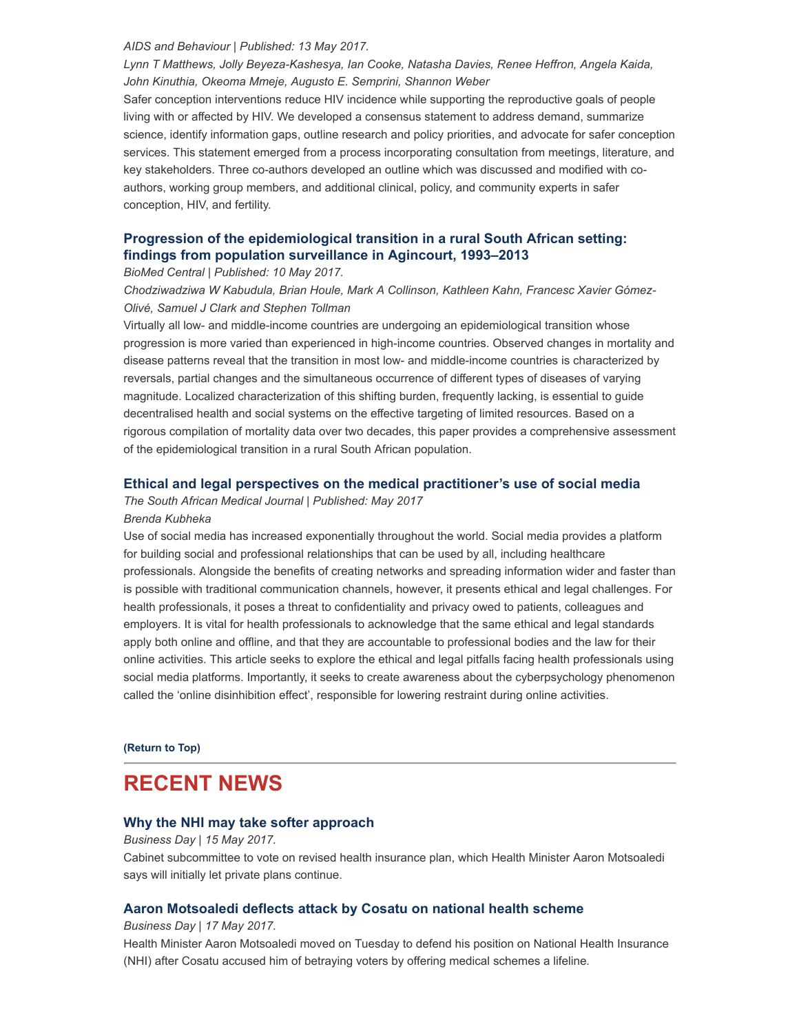#### AIDS and Behaviour | Published: 13 May 2017.

Lynn T Matthews, Jolly Beyeza-Kashesya, Ian Cooke, Natasha Davies, Renee Heffron, Angela Kaida, John Kinuthia, Okeoma Mmeje, Augusto E. Semprini, Shannon Weber

Safer conception interventions reduce HIV incidence while supporting the reproductive goals of people living with or affected by HIV. We developed a consensus statement to address demand, summarize science, identify information gaps, outline research and policy priorities, and advocate for safer conception services. This statement emerged from a process incorporating consultation from meetings, literature, and key stakeholders. Three co-authors developed an outline which was discussed and modified with coauthors, working group members, and additional clinical, policy, and community experts in safer conception, HIV, and fertility.

## Progression of the [epidemiological](https://bmcpublichealth.biomedcentral.com/articles/10.1186/s12889-017-4312-x) transition in a rural South African setting: findings from population surveillance in Agincourt, 1993–2013

BioMed Central | Published: 10 May 2017.

Chodziwadziwa W Kabudula, Brian Houle, Mark A Collinson, Kathleen Kahn, Francesc Xavier Gómez-Olivé, Samuel J Clark and Stephen Tollman

Virtually all low- and middle-income countries are undergoing an epidemiological transition whose progression is more varied than experienced in high-income countries. Observed changes in mortality and disease patterns reveal that the transition in most low- and middle-income countries is characterized by reversals, partial changes and the simultaneous occurrence of different types of diseases of varying magnitude. Localized characterization of this shifting burden, frequently lacking, is essential to guide decentralised health and social systems on the effective targeting of limited resources. Based on a rigorous compilation of mortality data over two decades, this paper provides a comprehensive assessment of the epidemiological transition in a rural South African population.

### Ethical and legal perspectives on the medical [practitioner's](http://www.samj.org.za/index.php/samj/article/view/11883) use of social media

The South African Medical Journal | Published: May 2017

#### Brenda Kubheka

Use of social media has increased exponentially throughout the world. Social media provides a platform for building social and professional relationships that can be used by all, including healthcare professionals. Alongside the benefits of creating networks and spreading information wider and faster than is possible with traditional communication channels, however, it presents ethical and legal challenges. For health professionals, it poses a threat to confidentiality and privacy owed to patients, colleagues and employers. It is vital for health professionals to acknowledge that the same ethical and legal standards apply both online and offline, and that they are accountable to professional bodies and the law for their online activities. This article seeks to explore the ethical and legal pitfalls facing health professionals using social media platforms. Importantly, it seeks to create awareness about the cyberpsychology phenomenon called the 'online disinhibition effect', responsible for lowering restraint during online activities.

[\(Return](#page-0-1) to Top)

## <span id="page-2-0"></span>RECENT NEWS

### Why the NHI may take softer [approach](http://www.hst.org.za/news/why-nhi-may-take-softer-approach)

#### Business Day | 15 May 2017.

Cabinet subcommittee to vote on revised health insurance plan, which Health Minister Aaron Motsoaledi says will initially let private plans continue.

### Aaron [Motsoaledi](http://www.hst.org.za/news/aaron-motsoaledi-deflects-attack-cosatu-national-health-scheme) deflects attack by Cosatu on national health scheme

Business Day | 17 May 2017.

Health Minister Aaron Motsoaledi moved on Tuesday to defend his position on National Health Insurance (NHI) after Cosatu accused him of betraying voters by offering medical schemes a lifeline.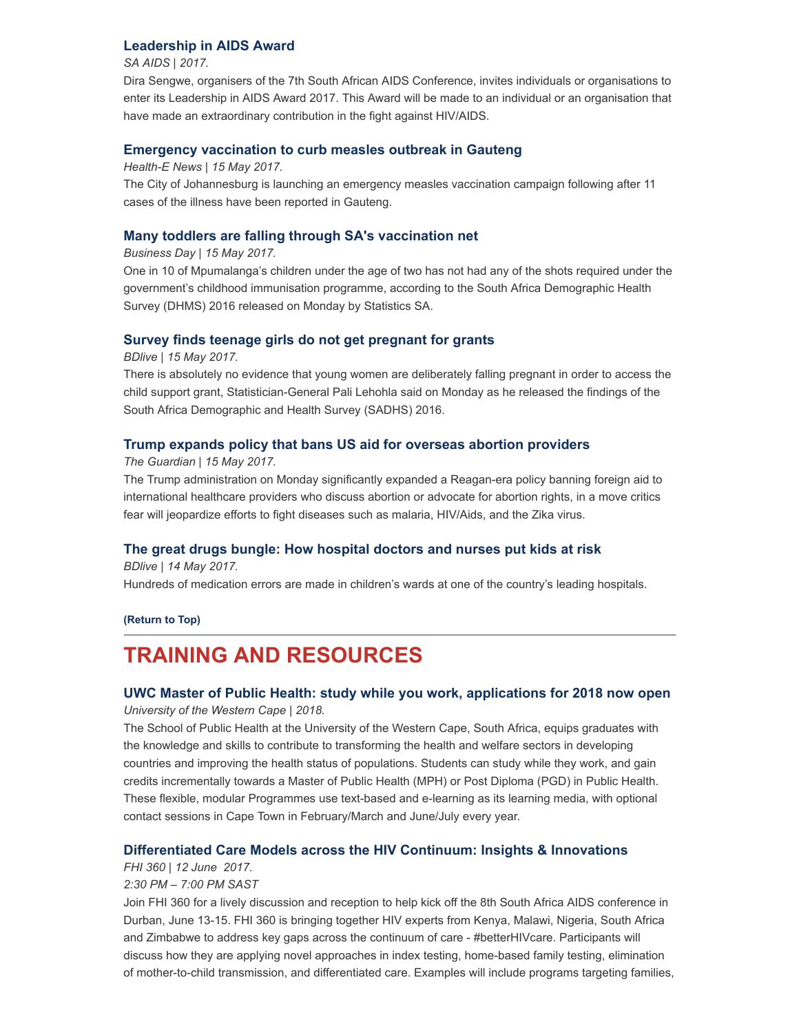## [Leadership](http://www.saaids.co.za/Leadership%20Awards.html) in AIDS Award

SA AIDS | 2017.

Dira Sengwe, organisers of the 7th South African AIDS Conference, invites individuals or organisations to enter its Leadership in AIDS Award 2017. This Award will be made to an individual or an organisation that have made an extraordinary contribution in the fight against HIV/AIDS.

## Emergency [vaccination](http://www.hst.org.za/news/emergency-vaccination-curb-measles-outbreak-gauteng) to curb measles outbreak in Gauteng

Health-E News | 15 May 2017.

The City of Johannesburg is launching an emergency measles vaccination campaign following after 11 cases of the illness have been reported in Gauteng.

## Many toddlers are falling through SA's [vaccination](http://www.hst.org.za/news/many-toddlers-are-falling-through-sas-vaccination-net) net

Business Day | 15 May 2017.

One in 10 of Mpumalanga's children under the age of two has not had any of the shots required under the government's childhood immunisation programme, according to the South Africa Demographic Health Survey (DHMS) 2016 released on Monday by Statistics SA.

## Survey finds teenage girls do not get [pregnant](http://www.hst.org.za/news/survey-finds-teenage-girls-do-not-get-pregnant-grants) for grants

BDlive | 15 May 2017.

There is absolutely no evidence that young women are deliberately falling pregnant in order to access the child support grant, Statistician-General Pali Lehohla said on Monday as he released the findings of the South Africa Demographic and Health Survey (SADHS) 2016.

## Trump expands policy that bans US aid for overseas abortion [providers](http://www.hst.org.za/news/trump-expands-policy-bans-us-aid-overseas-abortion-providers)

The Guardian | 15 May 2017.

The Trump administration on Monday significantly expanded a Reagan-era policy banning foreign aid to international healthcare providers who discuss abortion or advocate for abortion rights, in a move critics fear will jeopardize efforts to fight diseases such as malaria, HIV/Aids, and the Zika virus.

## The great drugs bungle: How [hospital](http://www.hst.org.za/news/great-drugs-bungle-how-hospital-doctors-and-nurses-put-kids-risk) doctors and nurses put kids at risk

BDlive | 14 May 2017. Hundreds of medication errors are made in children's wards at one of the country's leading hospitals.

#### [\(Return](#page-0-1) to Top)

# <span id="page-3-0"></span>TRAINING AND RESOURCES

## UWC Master of Public Health: study while you work, [applications](https://www.uwc.ac.za/Faculties/CHS/soph/Pages/Master-In-Public-Health.aspx) for 2018 now open University of the Western Cape | 2018.

The School of Public Health at the University of the Western Cape, South Africa, equips graduates with the knowledge and skills to contribute to transforming the health and welfare sectors in developing countries and improving the health status of populations. Students can study while they work, and gain credits incrementally towards a Master of Public Health (MPH) or Post Diploma (PGD) in Public Health. These flexible, modular Programmes use text-based and e-learning as its learning media, with optional contact sessions in Cape Town in February/March and June/July every year.

## [Differentiated](https://www.eventbrite.com/e/differentiated-care-models-across-the-hiv-continuum-insights-innovations-tickets-33513564975) Care Models across the HIV Continuum: Insights & Innovations

### FHI 360 | 12 June 2017.

### 2:30 PM – 7:00 PM SAST

Join FHI 360 for a lively discussion and reception to help kick off the 8th South Africa AIDS conference in Durban, June 13-15. FHI 360 is bringing together HIV experts from Kenya, Malawi, Nigeria, South Africa and Zimbabwe to address key gaps across the continuum of care - #betterHIVcare. Participants will discuss how they are applying novel approaches in index testing, home-based family testing, elimination of mother-to-child transmission, and differentiated care. Examples will include programs targeting families,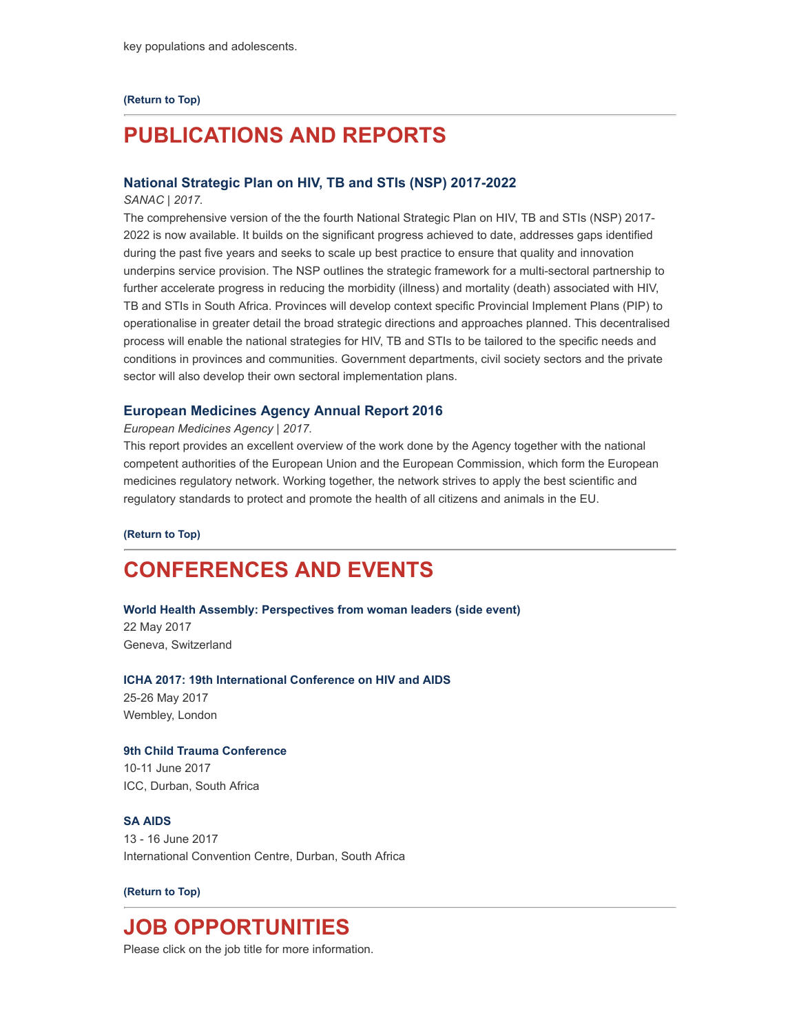### [\(Return](#page-0-1) to Top)

# <span id="page-4-0"></span>PUBLICATIONS AND REPORTS

### National Strategic Plan on HIV, TB and STIs (NSP) [2017-2022](http://www.hst.org.za/publications/national-strategic-plan-nsp-hiv-tb-and-stis-2017-2022)

#### SANAC | 2017.

The comprehensive version of the the fourth National Strategic Plan on HIV, TB and STIs (NSP) 2017- 2022 is now available. It builds on the significant progress achieved to date, addresses gaps identified during the past five years and seeks to scale up best practice to ensure that quality and innovation underpins service provision. The NSP outlines the strategic framework for a multi-sectoral partnership to further accelerate progress in reducing the morbidity (illness) and mortality (death) associated with HIV, TB and STIs in South Africa. Provinces will develop context specific Provincial Implement Plans (PIP) to operationalise in greater detail the broad strategic directions and approaches planned. This decentralised process will enable the national strategies for HIV, TB and STIs to be tailored to the specific needs and conditions in provinces and communities. Government departments, civil society sectors and the private sector will also develop their own sectoral implementation plans.

#### European [Medicines](http://www.hst.org.za/publications/european-medicines-agency-annual-report-2016) Agency Annual Report 2016

#### European Medicines Agency | 2017.

This report provides an excellent overview of the work done by the Agency together with the national competent authorities of the European Union and the European Commission, which form the European medicines regulatory network. Working together, the network strives to apply the best scientific and regulatory standards to protect and promote the health of all citizens and animals in the EU.

[\(Return](#page-0-1) to Top)

## <span id="page-4-1"></span>CONFERENCES AND EVENTS

#### World Health Assembly: [Perspectives](http://www.hst.org.za/events/world-health-assembly-enabling-global-health-security-through-health-systems-strengthening) from woman leaders (side event)

22 May 2017 Geneva, Switzerland

# ICHA 2017: 19th [International](http://www.hst.org.za/events/19th-international-conference-hiv-and-aids-icha-2017) Conference on HIV and AIDS

25-26 May 2017 Wembley, London

#### 9th Child Trauma [Conference](http://www.hst.org.za/events/9th-child-trauma-conference)

10-11 June 2017 ICC, Durban, South Africa

## SA [AIDS](http://www.hst.org.za/events/sa-aids)

13 - 16 June 2017 International Convention Centre, Durban, South Africa

### [\(Return](#page-0-1) to Top)

## <span id="page-4-2"></span>JOB OPPORTUNITIES

Please click on the job title for more information.